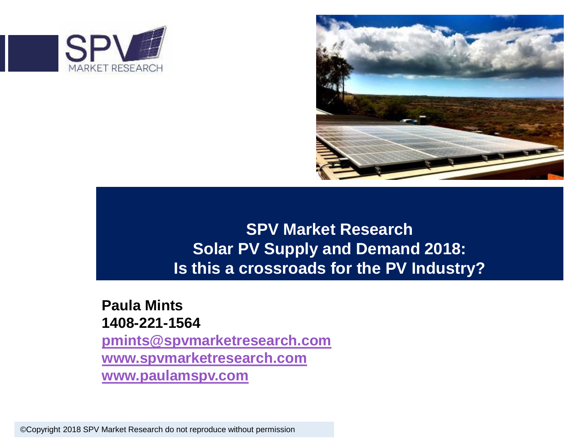



### **SPV Market Research Solar PV Supply and Demand 2018: Is this a crossroads for the PV Industry?**

**Paula Mints 1408-221-1564 [pmints@spvmarketresearch.com](mailto:pmints@spvmarketresearch.com) [www.spvmarketresearch.com](http://www.spvmarketresearch.com/) [www.paulamspv.com](http://www.paulamspv.com/)**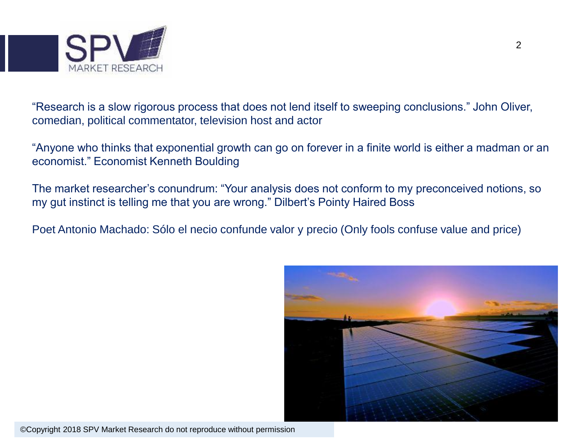

"Research is a slow rigorous process that does not lend itself to sweeping conclusions." John Oliver, comedian, political commentator, television host and actor

"Anyone who thinks that exponential growth can go on forever in a finite world is either a madman or an economist." Economist Kenneth Boulding

The market researcher's conundrum: "Your analysis does not conform to my preconceived notions, so my gut instinct is telling me that you are wrong." Dilbert's Pointy Haired Boss

Poet Antonio Machado: Sólo el necio confunde valor y precio (Only fools confuse value and price)

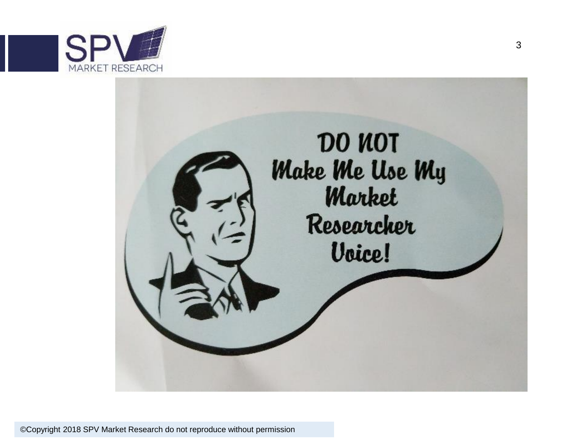

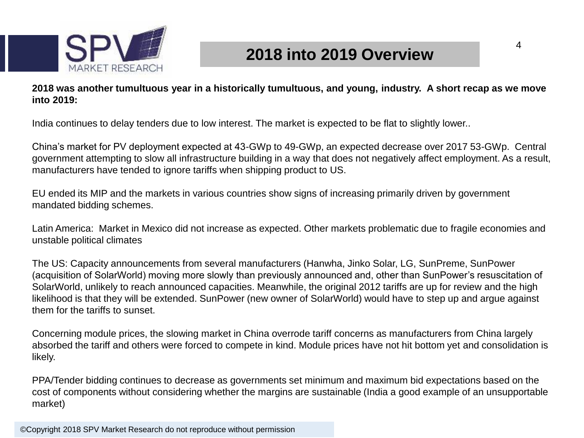

**2018 was another tumultuous year in a historically tumultuous, and young, industry. A short recap as we move into 2019:**

India continues to delay tenders due to low interest. The market is expected to be flat to slightly lower..

China's market for PV deployment expected at 43-GWp to 49-GWp, an expected decrease over 2017 53-GWp. Central government attempting to slow all infrastructure building in a way that does not negatively affect employment. As a result, manufacturers have tended to ignore tariffs when shipping product to US.

EU ended its MIP and the markets in various countries show signs of increasing primarily driven by government mandated bidding schemes.

Latin America: Market in Mexico did not increase as expected. Other markets problematic due to fragile economies and unstable political climates

The US: Capacity announcements from several manufacturers (Hanwha, Jinko Solar, LG, SunPreme, SunPower (acquisition of SolarWorld) moving more slowly than previously announced and, other than SunPower's resuscitation of SolarWorld, unlikely to reach announced capacities. Meanwhile, the original 2012 tariffs are up for review and the high likelihood is that they will be extended. SunPower (new owner of SolarWorld) would have to step up and argue against them for the tariffs to sunset.

Concerning module prices, the slowing market in China overrode tariff concerns as manufacturers from China largely absorbed the tariff and others were forced to compete in kind. Module prices have not hit bottom yet and consolidation is likely.

PPA/Tender bidding continues to decrease as governments set minimum and maximum bid expectations based on the cost of components without considering whether the margins are sustainable (India a good example of an unsupportable market)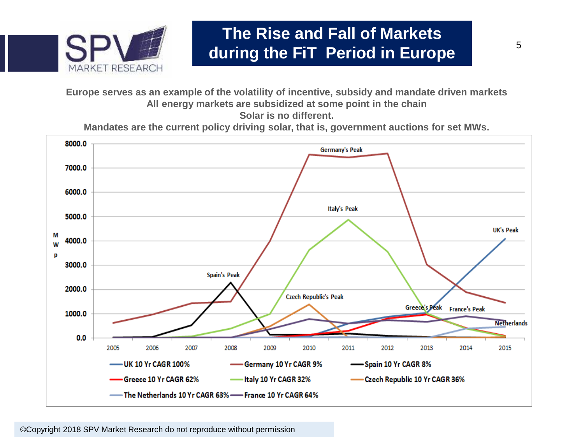

### **The Rise and Fall of Markets during the FiT Period in Europe**

**Europe serves as an example of the volatility of incentive, subsidy and mandate driven markets All energy markets are subsidized at some point in the chain Solar is no different.** 

**Mandates are the current policy driving solar, that is, government auctions for set MWs.** 

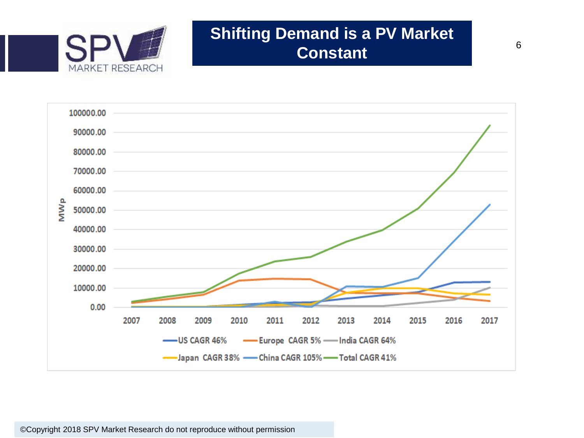

### **Shifting Demand is a PV Market Constant**

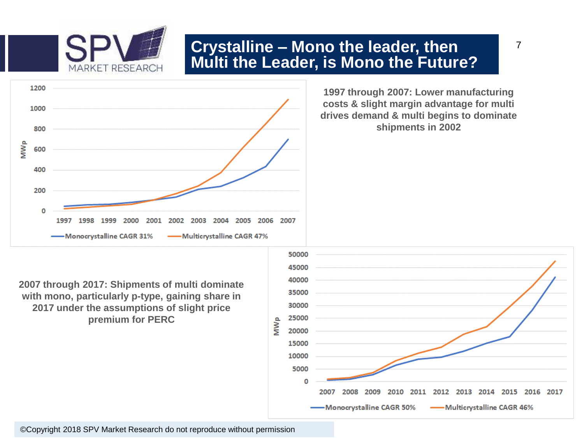

#### **Crystalline – Mono the leader, then** <sup>7</sup> **Multi the Leader, is Mono the Future?**



**1997 through 2007: Lower manufacturing costs & slight margin advantage for multi drives demand & multi begins to dominate shipments in 2002**

**2007 through 2017: Shipments of multi dominate with mono, particularly p-type, gaining share in 2017 under the assumptions of slight price premium for PERC**

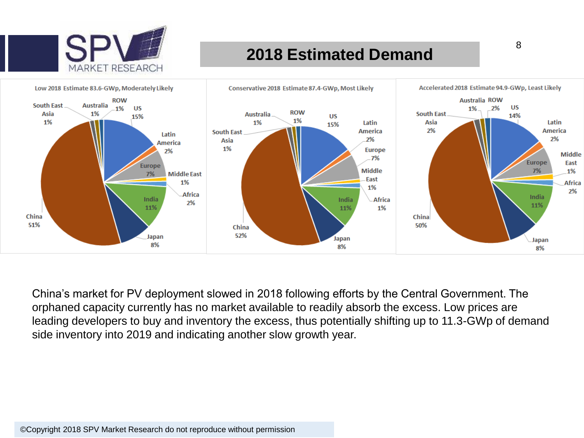

### **2018 Estimated Demand**



China's market for PV deployment slowed in 2018 following efforts by the Central Government. The orphaned capacity currently has no market available to readily absorb the excess. Low prices are leading developers to buy and inventory the excess, thus potentially shifting up to 11.3-GWp of demand side inventory into 2019 and indicating another slow growth year.

8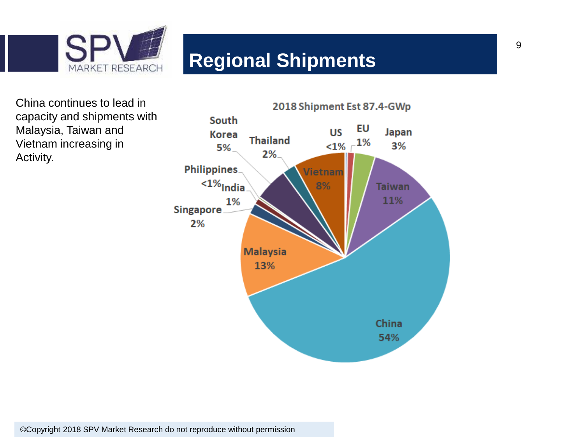

## **Regional Shipments**

China continues to lead in capacity and shipments with Malaysia, Taiwan and Vietnam increasing in Activity.



9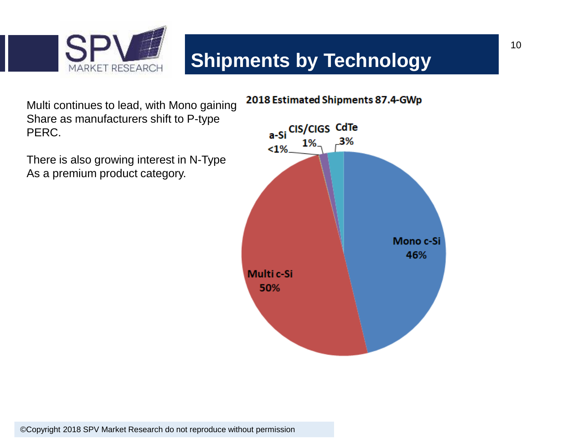

# **Shipments by Technology**

Multi continues to lead, with Mono gaining Share as manufacturers shift to P-type PERC.

There is also growing interest in N-Type As a premium product category.



2018 Estimated Shipments 87.4-GWp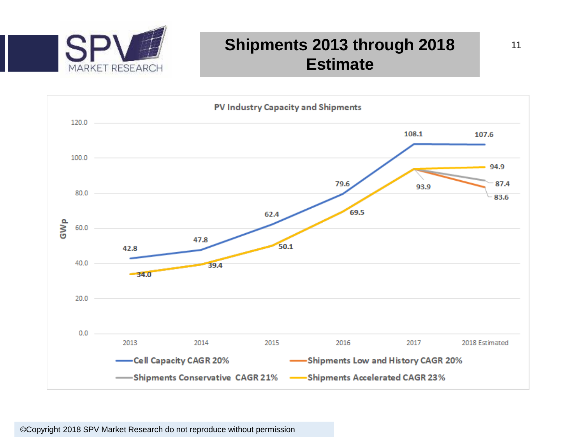

### **Shipments 2013 through 2018** 11 **Estimate**

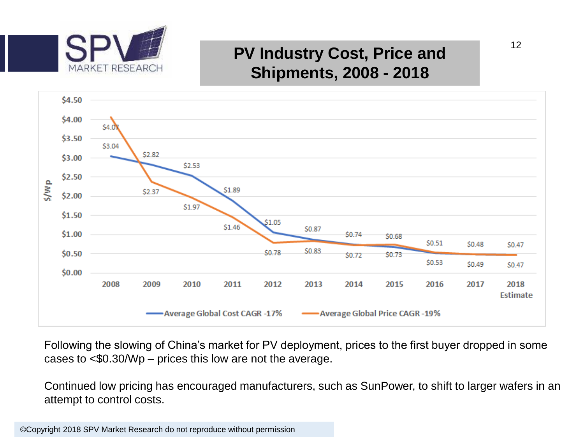

## <sup>12</sup> **PV Industry Cost, Price and Shipments, 2008 - 2018**



Following the slowing of China's market for PV deployment, prices to the first buyer dropped in some cases to <\$0.30/Wp – prices this low are not the average.

Continued low pricing has encouraged manufacturers, such as SunPower, to shift to larger wafers in an attempt to control costs.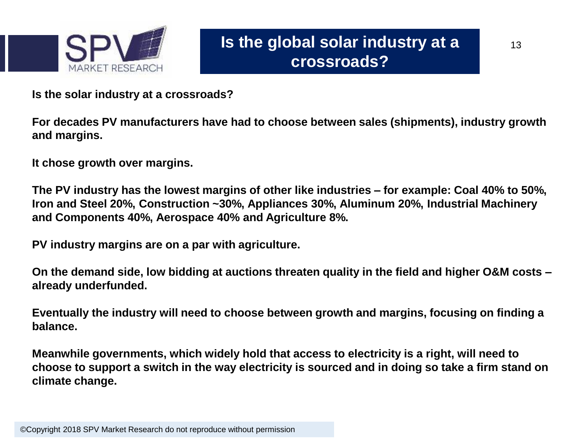

### **Is the global solar industry at a crossroads?**

**Is the solar industry at a crossroads?** 

**For decades PV manufacturers have had to choose between sales (shipments), industry growth and margins.** 

**It chose growth over margins.** 

**The PV industry has the lowest margins of other like industries – for example: Coal 40% to 50%, Iron and Steel 20%, Construction ~30%, Appliances 30%, Aluminum 20%, Industrial Machinery and Components 40%, Aerospace 40% and Agriculture 8%.** 

**PV industry margins are on a par with agriculture.** 

**On the demand side, low bidding at auctions threaten quality in the field and higher O&M costs – already underfunded.** 

**Eventually the industry will need to choose between growth and margins, focusing on finding a balance.** 

**Meanwhile governments, which widely hold that access to electricity is a right, will need to choose to support a switch in the way electricity is sourced and in doing so take a firm stand on climate change.**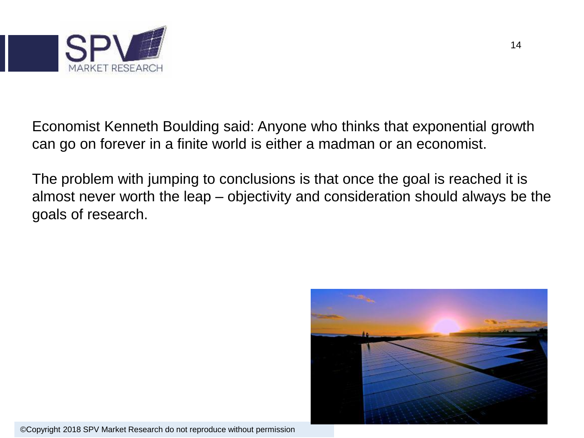

Economist Kenneth Boulding said: Anyone who thinks that exponential growth can go on forever in a finite world is either a madman or an economist.

The problem with jumping to conclusions is that once the goal is reached it is almost never worth the leap – objectivity and consideration should always be the goals of research.

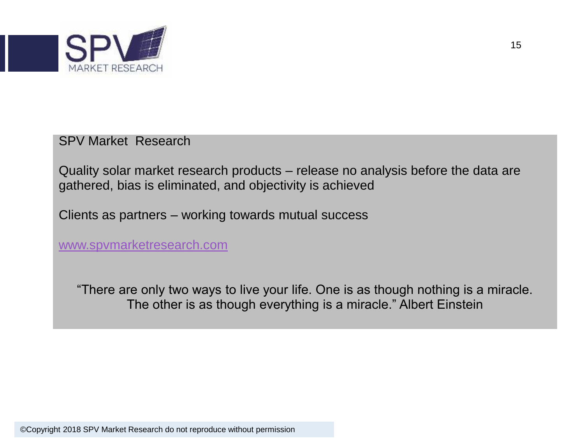

SPV Market Research

Quality solar market research products – release no analysis before the data are gathered, bias is eliminated, and objectivity is achieved

Clients as partners – working towards mutual success

[www.spvmarketresearch.com](http://www.spvmarketresearch.com/)

"There are only two ways to live your life. One is as though nothing is a miracle. The other is as though everything is a miracle." Albert Einstein